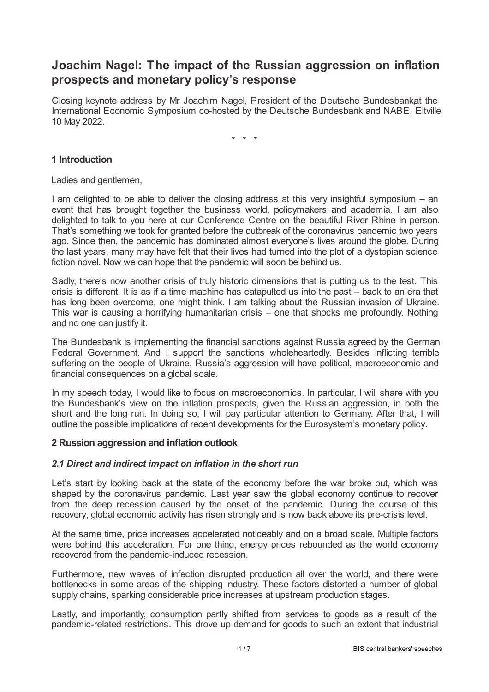# **Joachim Nagel: The impact of the Russian aggression on inflation prospects and monetary policy's response**

Closing keynote address by Mr Joachim Nagel, President of the Deutsche Bundesbankat the International Economic Symposium co-hosted by the Deutsche Bundesbank and NABE, Eltville, 10 May 2022.

\* \* \*

## **1 Introduction**

Ladies and gentlemen,

I am delighted to be able to deliver the closing address at this very insightful symposium  $-$  an event that has brought together the business world, policymakers and academia. I am also delighted to talk to you here at our Conference Centre on the beautiful River Rhine in person. That's something we took for granted before the outbreak of the coronavirus pandemic two years ago. Since then, the pandemic has dominated almost everyone's lives around the globe. During the last years, many may have felt that their lives had turned into the plot of a dystopian science fiction novel. Now we can hope that the pandemic will soon be behind us.

Sadly, there's now another crisis of truly historic dimensions that is putting us to the test. This crisis is different. It is as if a time machine has catapulted us into the past – back to an era that has long been overcome, one might think. I am talking about the Russian invasion of Ukraine. This war is causing a horrifying humanitarian crisis – one that shocks me profoundly. Nothing and no one can justify it.

The Bundesbank is implementing the financial sanctions against Russia agreed by the German Federal Government. And I support the sanctions wholeheartedly. Besides inflicting terrible suffering on the people of Ukraine, Russia's aggression will have political, macroeconomic and financial consequences on a global scale.

In my speech today, I would like to focus on macroeconomics. In particular, I will share with you the Bundesbank's view on the inflation prospects, given the Russian aggression, in both the short and the long run. In doing so, I will pay particular attention to Germany. After that, I will outline the possible implications of recent developments for the Eurosystem's monetary policy.

### **2 Russion aggression and inflation outlook**

### *2.1 Direct and indirect impact on inflation in the short run*

Let's start by looking back at the state of the economy before the war broke out, which was shaped by the coronavirus pandemic. Last year saw the global economy continue to recover from the deep recession caused by the onset of the pandemic. During the course of this recovery, global economic activity has risen strongly and is now back above its pre-crisis level.

At the same time, price increases accelerated noticeably and on a broad scale. Multiple factors were behind this acceleration. For one thing, energy prices rebounded as the world economy recovered from the pandemic-induced recession.

Furthermore, new waves of infection disrupted production all over the world, and there were bottlenecks in some areas of the shipping industry. These factors distorted a number of global supply chains, sparking considerable price increases at upstream production stages.

Lastly, and importantly, consumption partly shifted from services to goods as a result of the pandemic-related restrictions. This drove up demand for goods to such an extent that industrial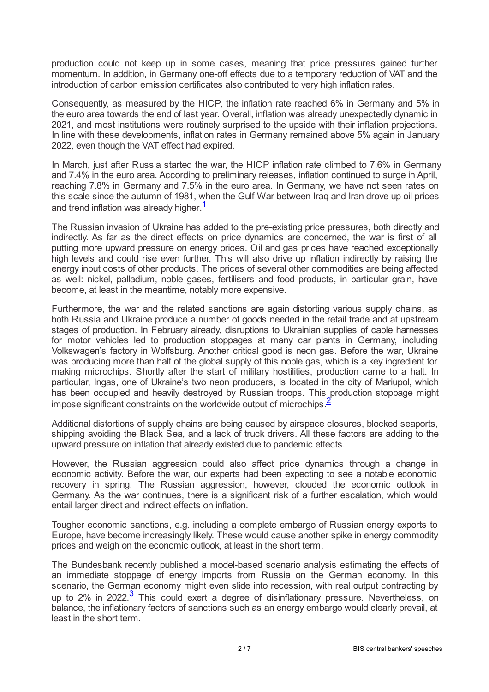production could not keep up in some cases, meaning that price pressures gained further momentum. In addition, in Germany one-off effects due to a temporary reduction of VAT and the introduction of carbon emission certificates also contributed to very high inflation rates.

Consequently, as measured by the HICP, the inflation rate reached 6% in Germany and 5% in the euro area towards the end of last year. Overall, inflation was already unexpectedly dynamic in 2021, and most institutions were routinely surprised to the upside with their inflation projections. In line with these developments, inflation rates in Germany remained above 5% again in January 2022, even though the VAT effect had expired.

In March, just after Russia started the war, the HICP inflation rate climbed to 7.6% in Germany and 7.4% in the euro area. According to preliminary releases, inflation continued to surge in April, reaching 7.8% in Germany and 7.5% in the euro area. In Germany, we have not seen rates on this scale since the autumn of 1981, when the Gulf War between Iraq and Iran drove up oil prices and trend inflation was already higher. $1$ 

<span id="page-1-0"></span>The Russian invasion of Ukraine has added to the pre-existing price pressures, both directly and indirectly. As far as the direct effects on price dynamics are concerned, the war is first of all putting more upward pressure on energy prices. Oil and gas prices have reached exceptionally high levels and could rise even further. This will also drive up inflation indirectly by raising the energy input costs of other products. The prices of several other commodities are being affected as well: nickel, palladium, noble gases, fertilisers and food products, in particular grain, have become, at least in the meantime, notably more expensive.

Furthermore, the war and the related sanctions are again distorting various supply chains, as both Russia and Ukraine produce a number of goods needed in the retail trade and at upstream stages of production. In February already, disruptions to Ukrainian supplies of cable harnesses for motor vehicles led to production stoppages at many car plants in Germany, including Volkswagen's factory in Wolfsburg. Another critical good is neon gas. Before the war, Ukraine was producing more than half of the global supply of this noble gas, which is a key ingredient for making microchips. Shortly after the start of military hostilities, production came to a halt. In particular, Ingas, one of Ukraine's two neon producers, is located in the city of Mariupol, which has been occupied and heavily destroyed by Russian troops. This production stoppage might impose significant constraints on the worldwide output of microchips  $\frac{2}{3}$  $\frac{2}{3}$  $\frac{2}{3}$ 

<span id="page-1-1"></span>Additional distortions of supply chains are being caused by airspace closures, blocked seaports, shipping avoiding the Black Sea, and a lack of truck drivers. All these factors are adding to the upward pressure on inflation that already existed due to pandemic effects.

However, the Russian aggression could also affect price dynamics through a change in economic activity. Before the war, our experts had been expecting to see a notable economic recovery in spring. The Russian aggression, however, clouded the economic outlook in Germany. As the war continues, there is a significant risk of a further escalation, which would entail larger direct and indirect effects on inflation.

Tougher economic sanctions, e.g. including a complete embargo of Russian energy exports to Europe, have become increasingly likely. These would cause another spike in energy commodity prices and weigh on the economic outlook, at least in the short term.

<span id="page-1-2"></span>The Bundesbank recently published a model-based scenario analysis estimating the effects of an immediate stoppage of energy imports from Russia on the German economy. In this scenario, the German economy might even slide into recession, with real output contracting by up to  $2\%$  in  $2022.\overline{3}$  $2022.\overline{3}$  $2022.\overline{3}$  This could exert a degree of disinflationary pressure. Nevertheless, on balance, the inflationary factors of sanctions such as an energy embargo would clearly prevail, at least in the short term.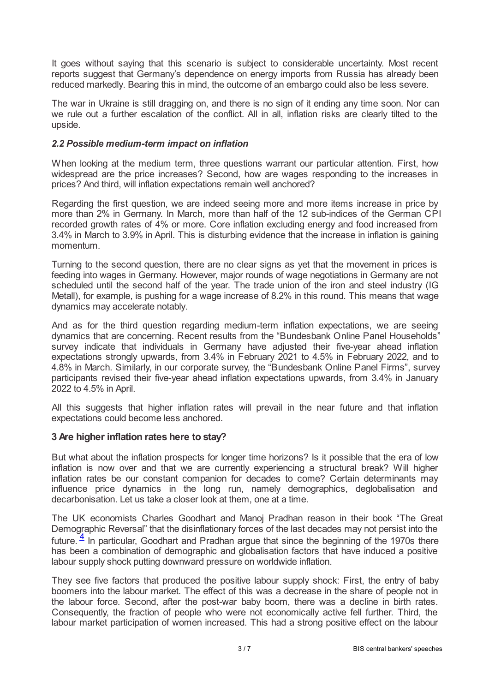It goes without saying that this scenario is subject to considerable uncertainty. Most recent reports suggest that Germany's dependence on energy imports from Russia has already been reduced markedly. Bearing this in mind, the outcome of an embargo could also be less severe.

The war in Ukraine is still dragging on, and there is no sign of it ending any time soon. Nor can we rule out a further escalation of the conflict. All in all, inflation risks are clearly tilted to the upside.

### *2.2 Possible medium-term impact on inflation*

When looking at the medium term, three questions warrant our particular attention. First, how widespread are the price increases? Second, how are wages responding to the increases in prices? And third, will inflation expectations remain well anchored?

Regarding the first question, we are indeed seeing more and more items increase in price by more than 2% in Germany. In March, more than half of the 12 sub-indices of the German CPI recorded growth rates of 4% or more. Core inflation excluding energy and food increased from 3.4% in March to 3.9% in April. This is disturbing evidence that the increase in inflation is gaining momentum.

Turning to the second question, there are no clear signs as yet that the movement in prices is feeding into wages in Germany. However, major rounds of wage negotiations in Germany are not scheduled until the second half of the year. The trade union of the iron and steel industry (IG Metall), for example, is pushing for a wage increase of 8.2% in this round. This means that wage dynamics may accelerate notably.

And as for the third question regarding medium-term inflation expectations, we are seeing dynamics that are concerning. Recent results from the "Bundesbank Online Panel Households" survey indicate that individuals in Germany have adjusted their five-year ahead inflation expectations strongly upwards, from 3.4% in February 2021 to 4.5% in February 2022, and to 4.8% in March. Similarly, in our corporate survey, the "Bundesbank Online Panel Firms", survey participants revised their five-year ahead inflation expectations upwards, from 3.4% in January 2022 to 4.5% in April.

All this suggests that higher inflation rates will prevail in the near future and that inflation expectations could become less anchored.

### **3 Are higher inflation rates here to stay?**

But what about the inflation prospects for longer time horizons? Is it possible that the era of low inflation is now over and that we are currently experiencing a structural break? Will higher inflation rates be our constant companion for decades to come? Certain determinants may influence price dynamics in the long run, namely demographics, deglobalisation and decarbonisation. Let us take a closer look at them, one at a time.

<span id="page-2-0"></span>The UK economists Charles Goodhart and Manoj Pradhan reason in their book "The Great Demographic Reversal" that the disinflationary forces of the last decades may not persist into the future.  $\frac{4}{1}$  $\frac{4}{1}$  $\frac{4}{1}$  in particular, Goodhart and Pradhan argue that since the beginning of the 1970s there has been a combination of demographic and globalisation factors that have induced a positive labour supply shock putting downward pressure on worldwide inflation.

They see five factors that produced the positive labour supply shock: First, the entry of baby boomers into the labour market. The effect of this was a decrease in the share of people not in the labour force. Second, after the post-war baby boom, there was a decline in birth rates. Consequently, the fraction of people who were not economically active fell further. Third, the labour market participation of women increased. This had a strong positive effect on the labour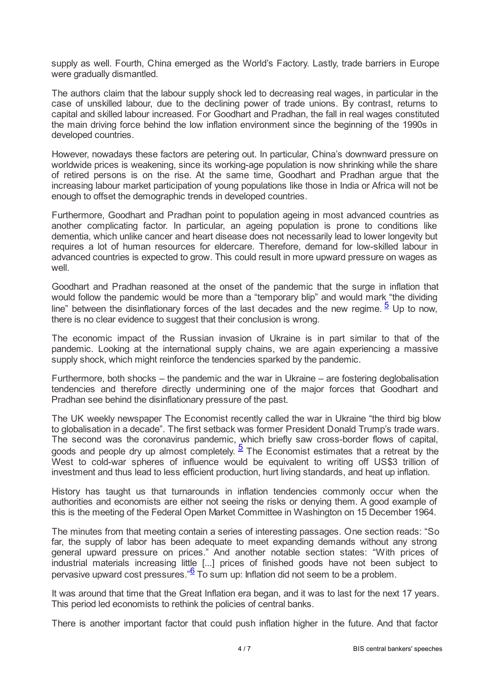supply as well. Fourth, China emerged as the World's Factory. Lastly, trade barriers in Europe were gradually dismantled.

The authors claim that the labour supply shock led to decreasing real wages, in particular in the case of unskilled labour, due to the declining power of trade unions. By contrast, returns to capital and skilled labour increased. For Goodhart and Pradhan, the fall in real wages constituted the main driving force behind the low inflation environment since the beginning of the 1990s in developed countries.

However, nowadays these factors are petering out. In particular, China's downward pressure on worldwide prices is weakening, since its working-age population is now shrinking while the share of retired persons is on the rise. At the same time, Goodhart and Pradhan argue that the increasing labour market participation of young populations like those in India or Africa will not be enough to offset the demographic trends in developed countries.

Furthermore, Goodhart and Pradhan point to population ageing in most advanced countries as another complicating factor. In particular, an ageing population is prone to conditions like dementia, which unlike cancer and heart disease does not necessarily lead to lower longevity but requires a lot of human resources for eldercare. Therefore, demand for low-skilled labour in advanced countries is expected to grow. This could result in more upward pressure on wages as well.

<span id="page-3-0"></span>Goodhart and Pradhan reasoned at the onset of the pandemic that the surge in inflation that would follow the pandemic would be more than a "temporary blip" and would mark "the dividing line" between the disinflationary forces of the last decades and the new regime.  $\frac{5}{2}$  $\frac{5}{2}$  $\frac{5}{2}$  Up to now, there is no clear evidence to suggest that their conclusion is wrong.

The economic impact of the Russian invasion of Ukraine is in part similar to that of the pandemic. Looking at the international supply chains, we are again experiencing a massive supply shock, which might reinforce the tendencies sparked by the pandemic.

Furthermore, both shocks – the pandemic and the war in Ukraine – are fostering deglobalisation tendencies and therefore directly undermining one of the major forces that Goodhart and Pradhan see behind the disinflationary pressure of the past.

The UK weekly newspaper The Economist recently called the war in Ukraine "the third big blow to globalisation in a decade". The first setback was former President Donald Trump's trade wars. The second was the coronavirus pandemic, which briefly saw cross-border flows of capital, goods and people dry up almost completely.  $\frac{5}{2}$  $\frac{5}{2}$  $\frac{5}{2}$  The Economist estimates that a retreat by the West to cold-war spheres of influence would be equivalent to writing off US\$3 trillion of investment and thus lead to less efficient production, hurt living standards, and heat up inflation.

History has taught us that turnarounds in inflation tendencies commonly occur when the authorities and economists are either not seeing the risks or denying them. A good example of this is the meeting of the Federal Open Market Committee in Washington on 15 December 1964.

The minutes from that meeting contain a series of interesting passages. One section reads: "So far, the supply of labor has been adequate to meet expanding demands without any strong general upward pressure on prices." And another notable section states: "With prices of industrial materials increasing little [...] prices of finished goods have not been subject to pervasive upward cost pressures." $\frac{5}{6}$  $\frac{5}{6}$  $\frac{5}{6}$  To sum up: Inflation did not seem to be a problem.

<span id="page-3-1"></span>It was around that time that the Great Inflation era began, and it was to last for the next 17 years. This period led economists to rethink the policies of central banks.

There is another important factor that could push inflation higher in the future. And that factor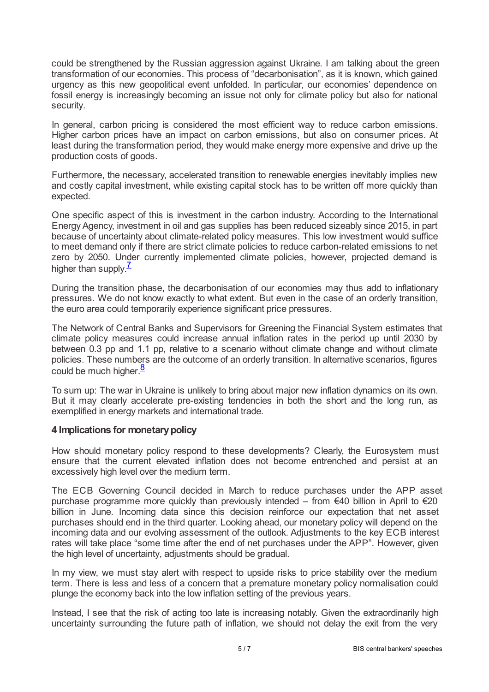could be strengthened by the Russian aggression against Ukraine. I am talking about the green transformation of our economies. This process of "decarbonisation", as it is known, which gained urgency as this new geopolitical event unfolded. In particular, our economies' dependence on fossil energy is increasingly becoming an issue not only for climate policy but also for national security.

In general, carbon pricing is considered the most efficient way to reduce carbon emissions. Higher carbon prices have an impact on carbon emissions, but also on consumer prices. At least during the transformation period, they would make energy more expensive and drive up the production costs of goods.

Furthermore, the necessary, accelerated transition to renewable energies inevitably implies new and costly capital investment, while existing capital stock has to be written off more quickly than expected.

One specific aspect of this is investment in the carbon industry. According to the International Energy Agency, investment in oil and gas supplies has been reduced sizeably since 2015, in part because of uncertainty about climate-related policy measures. This low investment would suffice to meet demand only if there are strict climate policies to reduce carbon-related emissions to net zero by 2050. Under currently implemented climate policies, however, projected demand is higher than supply.<sup>[7](#page-6-6)</sup>

<span id="page-4-0"></span>During the transition phase, the decarbonisation of our economies may thus add to inflationary pressures. We do not know exactly to what extent. But even in the case of an orderly transition, the euro area could temporarily experience significant price pressures.

The Network of Central Banks and Supervisors for Greening the Financial System estimates that climate policy measures could increase annual inflation rates in the period up until 2030 by between 0.3 pp and 1.1 pp, relative to a scenario without climate change and without climate policies. These numbers are the outcome of an orderly transition. In alternative scenarios, figures .<br>could be much higher.<sup>[8](#page-6-7)</sup>

<span id="page-4-1"></span>To sum up: The war in Ukraine is unlikely to bring about major new inflation dynamics on its own. But it may clearly accelerate pre-existing tendencies in both the short and the long run, as exemplified in energy markets and international trade.

### **4 Implications for monetarypolicy**

How should monetary policy respond to these developments? Clearly, the Eurosystem must ensure that the current elevated inflation does not become entrenched and persist at an excessively high level over the medium term.

The ECB Governing Council decided in March to reduce purchases under the APP asset purchase programme more quickly than previously intended – from  $\epsilon$ 40 billion in April to  $\epsilon$ 20 billion in June. Incoming data since this decision reinforce our expectation that net asset purchases should end in the third quarter. Looking ahead, our monetary policy will depend on the incoming data and our evolving assessment of the outlook. Adjustments to the key ECB interest rates will take place "some time after the end of net purchases under the APP". However, given the high level of uncertainty, adjustments should be gradual.

In my view, we must stay alert with respect to upside risks to price stability over the medium term. There is less and less of a concern that a premature monetary policy normalisation could plunge the economy back into the low inflation setting of the previous years.

Instead, I see that the risk of acting too late is increasing notably. Given the extraordinarily high uncertainty surrounding the future path of inflation, we should not delay the exit from the very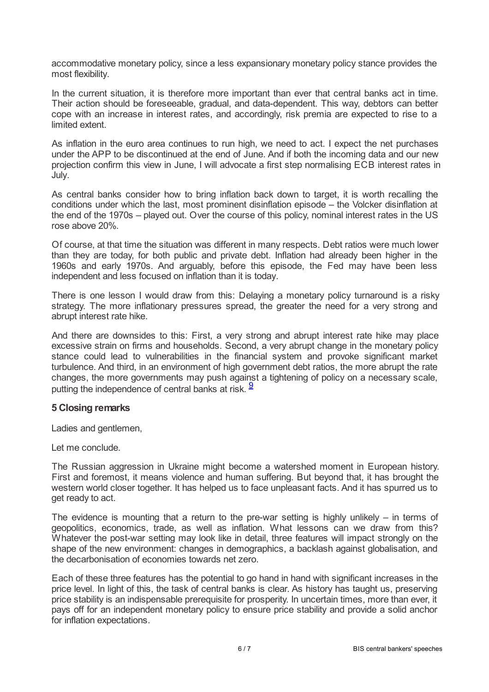accommodative monetary policy, since a less expansionary monetary policy stance provides the most flexibility.

In the current situation, it is therefore more important than ever that central banks act in time. Their action should be foreseeable, gradual, and data-dependent. This way, debtors can better cope with an increase in interest rates, and accordingly, risk premia are expected to rise to a limited extent.

As inflation in the euro area continues to run high, we need to act. I expect the net purchases under the APP to be discontinued at the end of June. And if both the incoming data and our new projection confirm this view in June, I will advocate a first step normalising ECB interest rates in July.

As central banks consider how to bring inflation back down to target, it is worth recalling the conditions under which the last, most prominent disinflation episode – the Volcker disinflation at the end of the 1970s – played out. Over the course of this policy, nominal interest rates in the US rose above 20%.

Of course, at that time the situation was different in many respects. Debt ratios were much lower than they are today, for both public and private debt. Inflation had already been higher in the 1960s and early 1970s. And arguably, before this episode, the Fed may have been less independent and less focused on inflation than it is today.

There is one lesson I would draw from this: Delaying a monetary policy turnaround is a risky strategy. The more inflationary pressures spread, the greater the need for a very strong and abrupt interest rate hike.

And there are downsides to this: First, a very strong and abrupt interest rate hike may place excessive strain on firms and households. Second, a very abrupt change in the monetary policy stance could lead to vulnerabilities in the financial system and provoke significant market turbulence. And third, in an environment of high government debt ratios, the more abrupt the rate changes, the more governments may push against a tightening of policy on a necessary scale, putting the independence of central banks at risk. <sup>[9](#page-6-8)</sup>

### <span id="page-5-0"></span>**5 Closing remarks**

Ladies and gentlemen,

Let me conclude.

The Russian aggression in Ukraine might become a watershed moment in European history. First and foremost, it means violence and human suffering. But beyond that, it has brought the western world closer together. It has helped us to face unpleasant facts. And it has spurred us to get ready to act.

The evidence is mounting that a return to the pre-war setting is highly unlikely  $-$  in terms of geopolitics, economics, trade, as well as inflation. What lessons can we draw from this? Whatever the post-war setting may look like in detail, three features will impact strongly on the shape of the new environment: changes in demographics, a backlash against globalisation, and the decarbonisation of economies towards net zero.

Each of these three features has the potential to go hand in hand with significant increases in the price level. In light of this, the task of central banks is clear. As history has taught us, preserving price stability is an indispensable prerequisite for prosperity. In uncertain times, more than ever, it pays off for an independent monetary policy to ensure price stability and provide a solid anchor for inflation expectations.